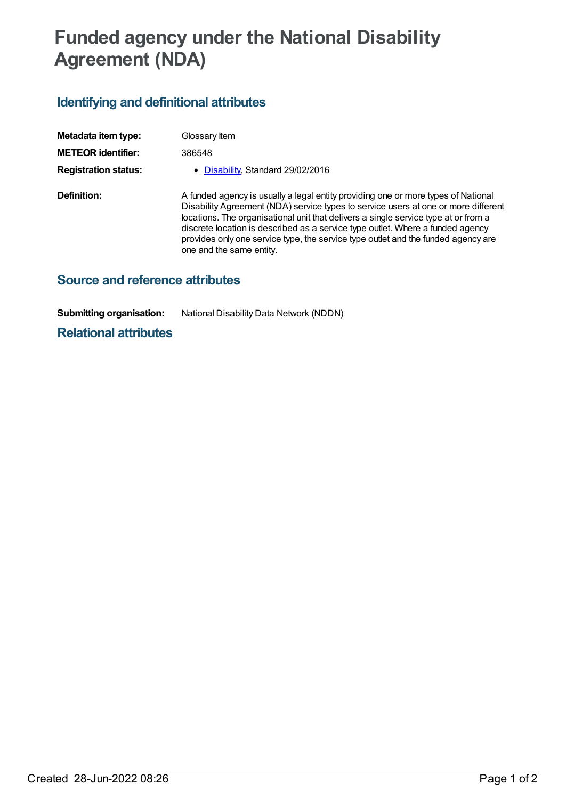## **Funded agency under the National Disability Agreement (NDA)**

## **Identifying and definitional attributes**

| Metadata item type:         | Glossary Item                                                                                                                                                                                                                                                                                                                                                                                                                                                     |
|-----------------------------|-------------------------------------------------------------------------------------------------------------------------------------------------------------------------------------------------------------------------------------------------------------------------------------------------------------------------------------------------------------------------------------------------------------------------------------------------------------------|
| <b>METEOR identifier:</b>   | 386548                                                                                                                                                                                                                                                                                                                                                                                                                                                            |
| <b>Registration status:</b> | • Disability, Standard 29/02/2016                                                                                                                                                                                                                                                                                                                                                                                                                                 |
| <b>Definition:</b>          | A funded agency is usually a legal entity providing one or more types of National<br>Disability Agreement (NDA) service types to service users at one or more different<br>locations. The organisational unit that delivers a single service type at or from a<br>discrete location is described as a service type outlet. Where a funded agency<br>provides only one service type, the service type outlet and the funded agency are<br>one and the same entity. |

## **Source and reference attributes**

**Submitting organisation:** National Disability Data Network (NDDN)

**Relational attributes**